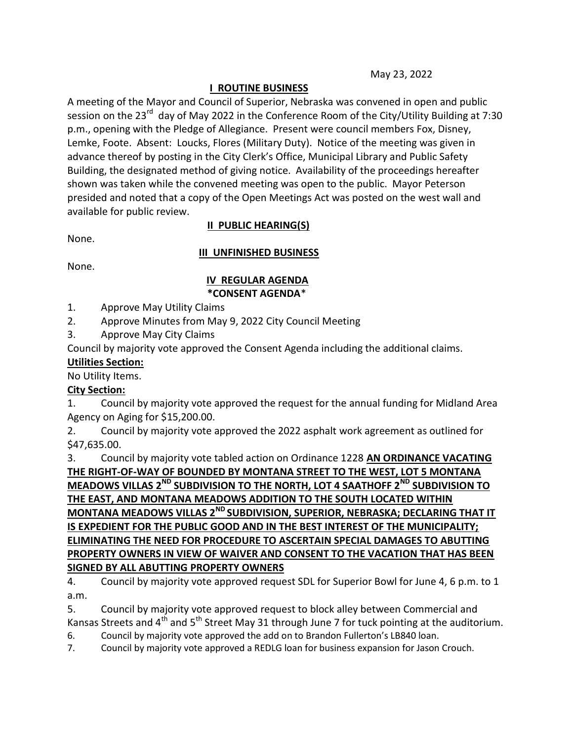May 23, 2022

# I ROUTINE BUSINESS

A meeting of the Mayor and Council of Superior, Nebraska was convened in open and public session on the 23<sup>rd</sup> day of May 2022 in the Conference Room of the City/Utility Building at 7:30 p.m., opening with the Pledge of Allegiance. Present were council members Fox, Disney, Lemke, Foote. Absent: Loucks, Flores (Military Duty). Notice of the meeting was given in advance thereof by posting in the City Clerk's Office, Municipal Library and Public Safety Building, the designated method of giving notice. Availability of the proceedings hereafter shown was taken while the convened meeting was open to the public. Mayor Peterson presided and noted that a copy of the Open Meetings Act was posted on the west wall and available for public review.

None.

# II PUBLIC HEARING(S)

### III UNFINISHED BUSINESS

None.

#### IV REGULAR AGENDA \*CONSENT AGENDA\*

- 1. Approve May Utility Claims
- 2. Approve Minutes from May 9, 2022 City Council Meeting
- 3. Approve May City Claims

Council by majority vote approved the Consent Agenda including the additional claims.

## Utilities Section:

No Utility Items.

## City Section:

1. Council by majority vote approved the request for the annual funding for Midland Area Agency on Aging for \$15,200.00.

2. Council by majority vote approved the 2022 asphalt work agreement as outlined for \$47,635.00.

3. Council by majority vote tabled action on Ordinance 1228 AN ORDINANCE VACATING THE RIGHT-OF-WAY OF BOUNDED BY MONTANA STREET TO THE WEST, LOT 5 MONTANA MEADOWS VILLAS 2<sup>ND</sup> SUBDIVISION TO THE NORTH, LOT 4 SAATHOFF 2<sup>ND</sup> SUBDIVISION TO THE EAST, AND MONTANA MEADOWS ADDITION TO THE SOUTH LOCATED WITHIN MONTANA MEADOWS VILLAS 2<sup>ND</sup> SUBDIVISION, SUPERIOR, NEBRASKA; DECLARING THAT IT IS EXPEDIENT FOR THE PUBLIC GOOD AND IN THE BEST INTEREST OF THE MUNICIPALITY; ELIMINATING THE NEED FOR PROCEDURE TO ASCERTAIN SPECIAL DAMAGES TO ABUTTING PROPERTY OWNERS IN VIEW OF WAIVER AND CONSENT TO THE VACATION THAT HAS BEEN SIGNED BY ALL ABUTTING PROPERTY OWNERS

4. Council by majority vote approved request SDL for Superior Bowl for June 4, 6 p.m. to 1 a.m.

5. Council by majority vote approved request to block alley between Commercial and Kansas Streets and  $4<sup>th</sup>$  and  $5<sup>th</sup>$  Street May 31 through June 7 for tuck pointing at the auditorium.

6. Council by majority vote approved the add on to Brandon Fullerton's LB840 loan.

7. Council by majority vote approved a REDLG loan for business expansion for Jason Crouch.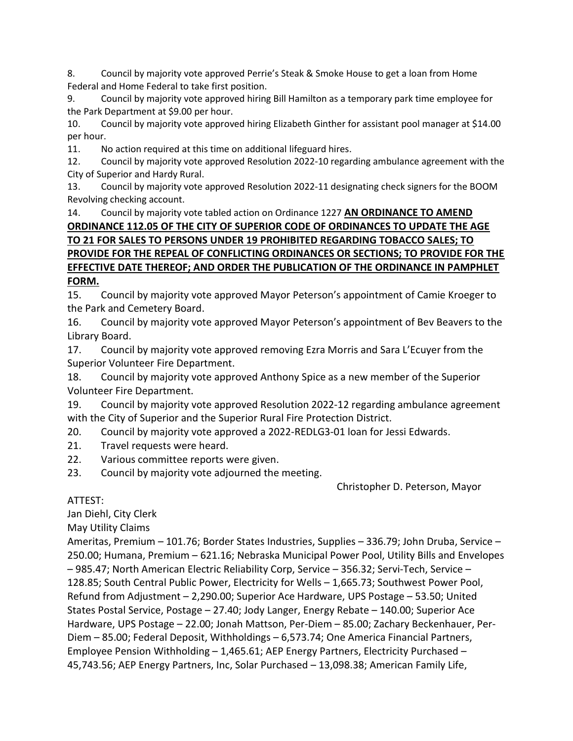8. Council by majority vote approved Perrie's Steak & Smoke House to get a loan from Home Federal and Home Federal to take first position.

9. Council by majority vote approved hiring Bill Hamilton as a temporary park time employee for the Park Department at \$9.00 per hour.

10. Council by majority vote approved hiring Elizabeth Ginther for assistant pool manager at \$14.00 per hour.

11. No action required at this time on additional lifeguard hires.

12. Council by majority vote approved Resolution 2022-10 regarding ambulance agreement with the City of Superior and Hardy Rural.

13. Council by majority vote approved Resolution 2022-11 designating check signers for the BOOM Revolving checking account.

# 14. Council by majority vote tabled action on Ordinance 1227 AN ORDINANCE TO AMEND ORDINANCE 112.05 OF THE CITY OF SUPERIOR CODE OF ORDINANCES TO UPDATE THE AGE TO 21 FOR SALES TO PERSONS UNDER 19 PROHIBITED REGARDING TOBACCO SALES; TO PROVIDE FOR THE REPEAL OF CONFLICTING ORDINANCES OR SECTIONS; TO PROVIDE FOR THE EFFECTIVE DATE THEREOF; AND ORDER THE PUBLICATION OF THE ORDINANCE IN PAMPHLET FORM.

15. Council by majority vote approved Mayor Peterson's appointment of Camie Kroeger to the Park and Cemetery Board.

16. Council by majority vote approved Mayor Peterson's appointment of Bev Beavers to the Library Board.

17. Council by majority vote approved removing Ezra Morris and Sara L'Ecuyer from the Superior Volunteer Fire Department.

18. Council by majority vote approved Anthony Spice as a new member of the Superior Volunteer Fire Department.

19. Council by majority vote approved Resolution 2022-12 regarding ambulance agreement with the City of Superior and the Superior Rural Fire Protection District.

20. Council by majority vote approved a 2022-REDLG3-01 loan for Jessi Edwards.

- 21. Travel requests were heard.
- 22. Various committee reports were given.

23. Council by majority vote adjourned the meeting.

Christopher D. Peterson, Mayor

ATTEST:

Jan Diehl, City Clerk

May Utility Claims

Ameritas, Premium – 101.76; Border States Industries, Supplies – 336.79; John Druba, Service – 250.00; Humana, Premium – 621.16; Nebraska Municipal Power Pool, Utility Bills and Envelopes – 985.47; North American Electric Reliability Corp, Service – 356.32; Servi-Tech, Service – 128.85; South Central Public Power, Electricity for Wells – 1,665.73; Southwest Power Pool, Refund from Adjustment – 2,290.00; Superior Ace Hardware, UPS Postage – 53.50; United States Postal Service, Postage – 27.40; Jody Langer, Energy Rebate – 140.00; Superior Ace Hardware, UPS Postage – 22.00; Jonah Mattson, Per-Diem – 85.00; Zachary Beckenhauer, Per-Diem – 85.00; Federal Deposit, Withholdings – 6,573.74; One America Financial Partners, Employee Pension Withholding – 1,465.61; AEP Energy Partners, Electricity Purchased – 45,743.56; AEP Energy Partners, Inc, Solar Purchased – 13,098.38; American Family Life,